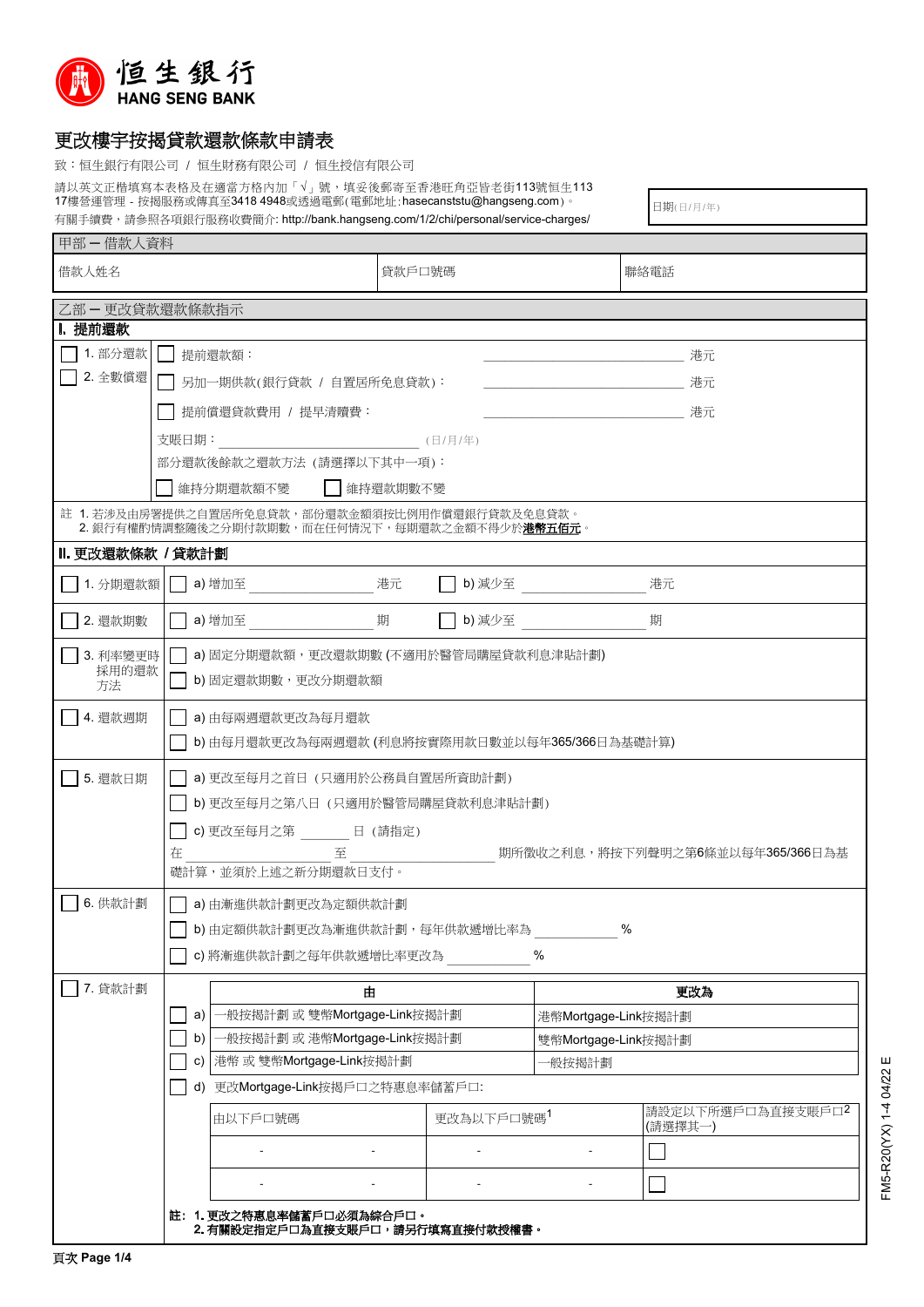

## 更改樓宇按揭貸款還款條款申請表

致:恒生銀行有限公司 / 恒生財務有限公司 / 恒生授信有限公司

請以英文正楷填寫本表格及在適當方格內加「√」號,填妥後郵寄至香港旺角亞皆老街113號恒生113 17樓營運管理 - 按揭服務或傳真至3418 4948或透過電郵(電郵地址:hasecanststu@hangseng.com)。 右關壬續費,請參照久百組行服務收費節介: http://bank.hangseng.com/1/2/chi/personal/service-charges/<br>-

日期(日/月/年)

| 甲部一借款人資料                | 角關于鎖賀,請參照合垻銀仃版務收賀間介∶ nup://bank.nangseng.com/ n/z/cni/personal/service-cnarges/                                                                              |                                                                                                                                  |                     |                              |  |  |  |
|-------------------------|--------------------------------------------------------------------------------------------------------------------------------------------------------------|----------------------------------------------------------------------------------------------------------------------------------|---------------------|------------------------------|--|--|--|
| 借款人姓名                   |                                                                                                                                                              | 貸款戶口號碼                                                                                                                           | 聯絡電話                |                              |  |  |  |
| 乙部 – 更改貸款還款條款指示         |                                                                                                                                                              |                                                                                                                                  |                     |                              |  |  |  |
| I. 提前還款                 |                                                                                                                                                              |                                                                                                                                  |                     |                              |  |  |  |
| 1. 部分還款                 | 提前還款額:                                                                                                                                                       |                                                                                                                                  |                     |                              |  |  |  |
| 2. 全數償還                 |                                                                                                                                                              | 另加一期供款(銀行貸款 / 自置居所免息貸款):<br>アンディア アイスト おおとこ おおとこ おおところ おおところ おおところ おおところ おおところ おおところ おおところ おおところ こうしょう おおおおおおおおおおおおおおおおおおおおおおおおお |                     |                              |  |  |  |
|                         | │ │ 提前償還貸款費用 / 提早清贖費:                                                                                                                                        |                                                                                                                                  | アンディスク さんじょう おおし 港元 |                              |  |  |  |
|                         | 支賬日期: (日/月/年)                                                                                                                                                |                                                                                                                                  |                     |                              |  |  |  |
|                         | 部分還款後餘款之還款方法 (請選擇以下其中一項):                                                                                                                                    |                                                                                                                                  |                     |                              |  |  |  |
| 維持分期還款額不變<br>維持還款期數不變   |                                                                                                                                                              |                                                                                                                                  |                     |                              |  |  |  |
|                         | 註 1. 若涉及由房署提供之自置居所免息貸款,部份還款金額須按比例用作償還銀行貸款及免息貸款。<br>2. 銀行有權酌情調整隨後之分期付款期數,而在任何情況下,每期還款之金額不得少於 <b>港幣五佰元</b> 。                                                   |                                                                                                                                  |                     |                              |  |  |  |
| Ⅱ. 更改還款條款 / 貸款計劃        |                                                                                                                                                              |                                                                                                                                  |                     |                              |  |  |  |
| 1. 分期還款額                |                                                                                                                                                              | 港元                                                                                                                               |                     | 港元                           |  |  |  |
| 2. 還款期數                 | a) 增加至                                                                                                                                                       | 期<br>b) 減少至                                                                                                                      | 期                   |                              |  |  |  |
| 3. 利率變更時<br>採用的還款<br>方法 | a) 固定分期還款額,更改還款期數 (不適用於醫管局購屋貸款利息津貼計劃)<br>b) 固定還款期數,更改分期還款額                                                                                                   |                                                                                                                                  |                     |                              |  |  |  |
| 4. 還款週期                 | a) 由每兩週還款更改為每月還款<br>b) 由每月還款更改為每兩週還款 (利息將按實際用款日數並以每年365/366日為基礎計算)                                                                                           |                                                                                                                                  |                     |                              |  |  |  |
| 5. 還款日期                 | a) 更改至每月之首日 (只適用於公務員自置居所資助計劃)<br>b) 更改至每月之第八日 (只適用於醫管局購屋貸款利息津貼計劃)<br>c) 更改至每月之第 日 (請指定)<br>在<br>期所徵收之利息,將按下列聲明之第6條並以每年365/366日為基<br>至<br>礎計算,並須於上述之新分期還款日支付。 |                                                                                                                                  |                     |                              |  |  |  |
| 6. 供款計劃                 | a) 由漸進供款計劃更改為定額供款計劃<br>$\%$<br>b) 由定額供款計劃更改為漸進供款計劃, 每年供款遞增比率為<br>c) 將漸進供款計劃之每年供款遞增比率更改為<br>$\%$                                                              |                                                                                                                                  |                     |                              |  |  |  |
| 7. 貸款計劃                 |                                                                                                                                                              | 由                                                                                                                                | 更改為                 |                              |  |  |  |
|                         | -般按揭計劃或雙幣Mortgage-Link按揭計劃<br>a)                                                                                                                             |                                                                                                                                  | 港幣Mortgage-Link按揭計劃 |                              |  |  |  |
|                         | 一般按揭計劃 或 港幣Mortgage-Link按揭計劃<br>b)<br>c) 港幣 或 雙幣Mortgage-Link按揭計劃                                                                                            |                                                                                                                                  | 雙幣Mortgage-Link按揭計劃 |                              |  |  |  |
|                         |                                                                                                                                                              |                                                                                                                                  | -般按揭計劃              |                              |  |  |  |
|                         |                                                                                                                                                              | d) 更改Mortgage-Link按揭戶口之特惠息率儲蓄戶口:                                                                                                 |                     |                              |  |  |  |
|                         | 由以下戶口號碼                                                                                                                                                      | 更改為以下戶口號碼1                                                                                                                       |                     | 請設定以下所選戶口為直接支賬戶口2<br>(請選擇其一) |  |  |  |
|                         |                                                                                                                                                              |                                                                                                                                  |                     |                              |  |  |  |
|                         |                                                                                                                                                              |                                                                                                                                  |                     |                              |  |  |  |
|                         | 註: 1. 更改之特惠息率儲蓄戶口必須為綜合戶口。<br>2. 有關設定指定戶口為直接支賬戶口,請另行填寫直接付款授權書。                                                                                                |                                                                                                                                  |                     |                              |  |  |  |

FM5-R20(YX) 1-4 04/22 E FM5-R20(YX) 1-4 04/22 E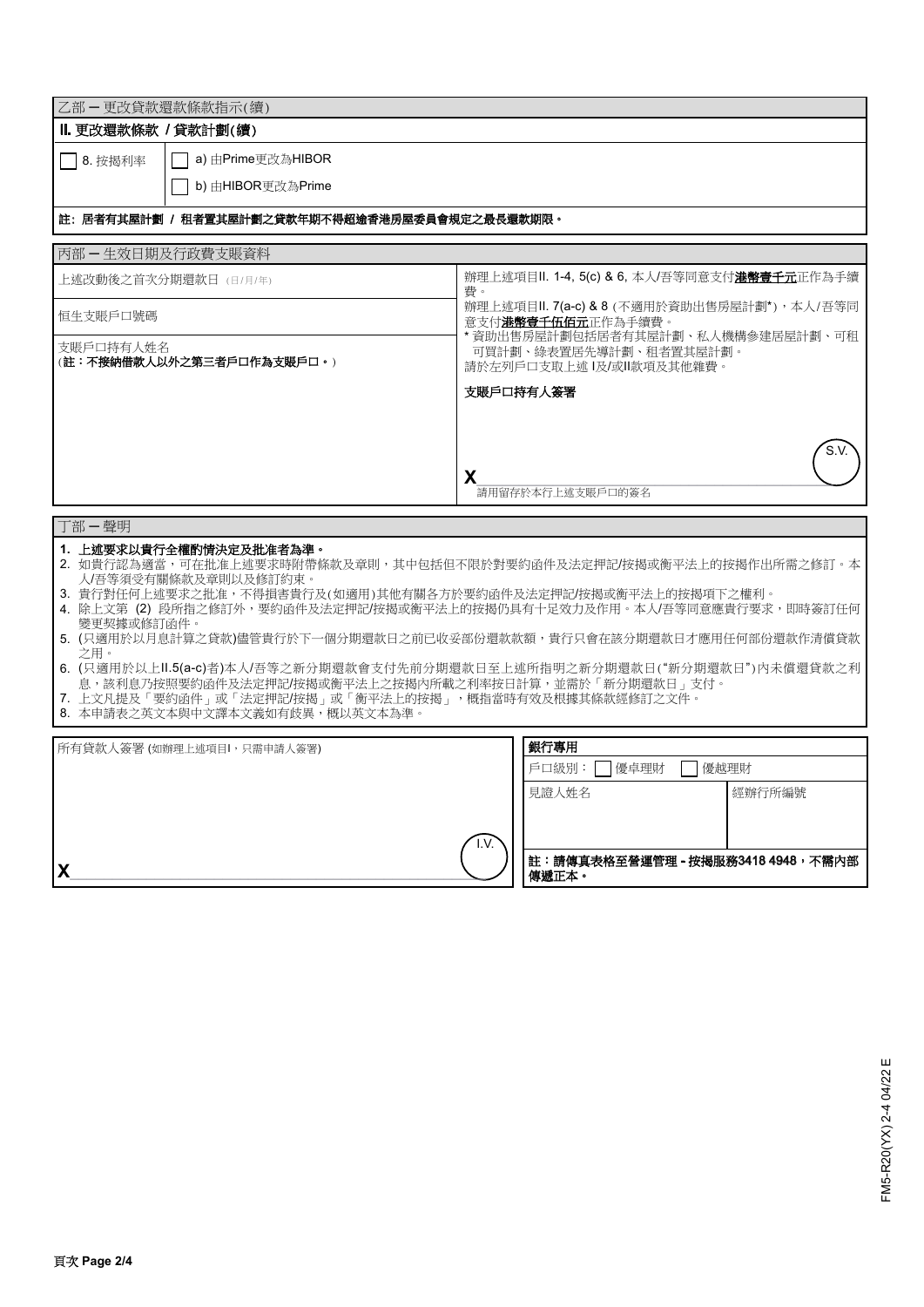| 乙部 一更改貸款還款條款指示(續)                                                                                                                  |                                                                        |  |  |  |  |  |
|------------------------------------------------------------------------------------------------------------------------------------|------------------------------------------------------------------------|--|--|--|--|--|
| Ⅱ. 更改還款條款 / 貸款計劃(續)                                                                                                                |                                                                        |  |  |  |  |  |
| a) 由Prime更改為HIBOR<br>8. 按揭利率                                                                                                       |                                                                        |  |  |  |  |  |
| b) 由HIBOR更改為Prime                                                                                                                  |                                                                        |  |  |  |  |  |
| 註:居者有其屋計劃 / 租者置其屋計劃之貸款年期不得超逾香港房屋委員會規定之最長還款期限。                                                                                      |                                                                        |  |  |  |  |  |
|                                                                                                                                    |                                                                        |  |  |  |  |  |
| 丙部一生效日期及行政費支賬資料                                                                                                                    |                                                                        |  |  |  |  |  |
| 上述改動後之首次分期還款日 (日/月/年)                                                                                                              | 辦理上述項目II. 1-4, 5(c) & 6, 本人/吾等同意支付 <b>港幣壹千元</b> 正作為手續<br>費。            |  |  |  |  |  |
|                                                                                                                                    | 辦理上述項目II. 7(a-c) & 8 (不適用於資助出售房屋計劃*), 本人/吾等同                           |  |  |  |  |  |
| 恒生支賬戶口號碼                                                                                                                           | 意支付 <b>港幣壹千伍佰元</b> 正作為手續費。<br>* 資助出售房屋計劃包括居者有其屋計劃、私人機構參建居屋計劃、可租        |  |  |  |  |  |
| 支賬戶口持有人姓名<br>(註:不接納借款人以外之第三者戶口作為支賬戶口。)                                                                                             | 可買計劃、綠表置居先導計劃、和者置其屋計劃。                                                 |  |  |  |  |  |
|                                                                                                                                    | 請於左列戶口支取上述 l及/或ll款項及其他雜費。                                              |  |  |  |  |  |
|                                                                                                                                    | 支賬戶口持有人簽署                                                              |  |  |  |  |  |
|                                                                                                                                    |                                                                        |  |  |  |  |  |
|                                                                                                                                    | S.V                                                                    |  |  |  |  |  |
|                                                                                                                                    | X                                                                      |  |  |  |  |  |
|                                                                                                                                    | 請用留存於本行上述支賬戶口的簽名                                                       |  |  |  |  |  |
| 丁部一聲明                                                                                                                              |                                                                        |  |  |  |  |  |
| 1. 上述要求以貴行全權酌情決定及批准者為準。                                                                                                            | 2. 如貴行認為適當,可在批准上述要求時附帶條款及章則,其中包括但不限於對要約函件及法定押記/按揭或衡平法上的按揭作出所需之修訂。本     |  |  |  |  |  |
| 人/吾等須受有關條款及章則以及修訂約束。                                                                                                               |                                                                        |  |  |  |  |  |
| 3. 貴行對任何上述要求之批准,不得損害貴行及(如適用)其他有關各方於要約函件及法定押記/按揭或衡平法上的按揭項下之權利。                                                                      | 4. 除上文第 (2) 段所指之修訂外,要約函件及法定押記/按揭或衡平法上的按揭仍具有十足效力及作用。本人/吾等同意應貴行要求,即時簽訂任何 |  |  |  |  |  |
| 變更契據或修訂函件。                                                                                                                         |                                                                        |  |  |  |  |  |
| 之用。                                                                                                                                | 5. (只適用於以月息計算之貸款)儘管貴行於下一個分期還款日之前已收妥部份還款款額,貴行只會在該分期還款日才應用任何部份還款作清償貸款    |  |  |  |  |  |
| 6. (只適用於以上II.5(a-c)者)本人/吾等之新分期還款會支付先前分期還款日至上述所指明之新分期還款日("新分期還款日")內未償還貸款之利<br>息,該利息乃按照要約函件及法定押記/按揭或衡平法上之按揭内所載之利率按日計算,並需於「新分期還款日」支付。 |                                                                        |  |  |  |  |  |
| 7. 上文凡提及「要約函件」或「法定押記/按揭」或「衡平法上的按揭」,概指當時有效及根據其條款經修訂之文件。                                                                             |                                                                        |  |  |  |  |  |
| 8. 本申請表之英文本與中文譯本文義如有歧異,概以英文本為準。                                                                                                    |                                                                        |  |  |  |  |  |
| 所有貸款人簽署 (如辦理上述項目」,只需申請人簽署)                                                                                                         | 銀行專用                                                                   |  |  |  |  |  |
|                                                                                                                                    | 戶口級別:<br>優卓理財<br>優越理財                                                  |  |  |  |  |  |
|                                                                                                                                    | 見證人姓名<br>經辦行所編號                                                        |  |  |  |  |  |
|                                                                                                                                    |                                                                        |  |  |  |  |  |
|                                                                                                                                    | I.V<br>註:請傳真表格至營運管理 - 按揭服務3418 4948,不需內部                               |  |  |  |  |  |
| X                                                                                                                                  | 傳遞正本。                                                                  |  |  |  |  |  |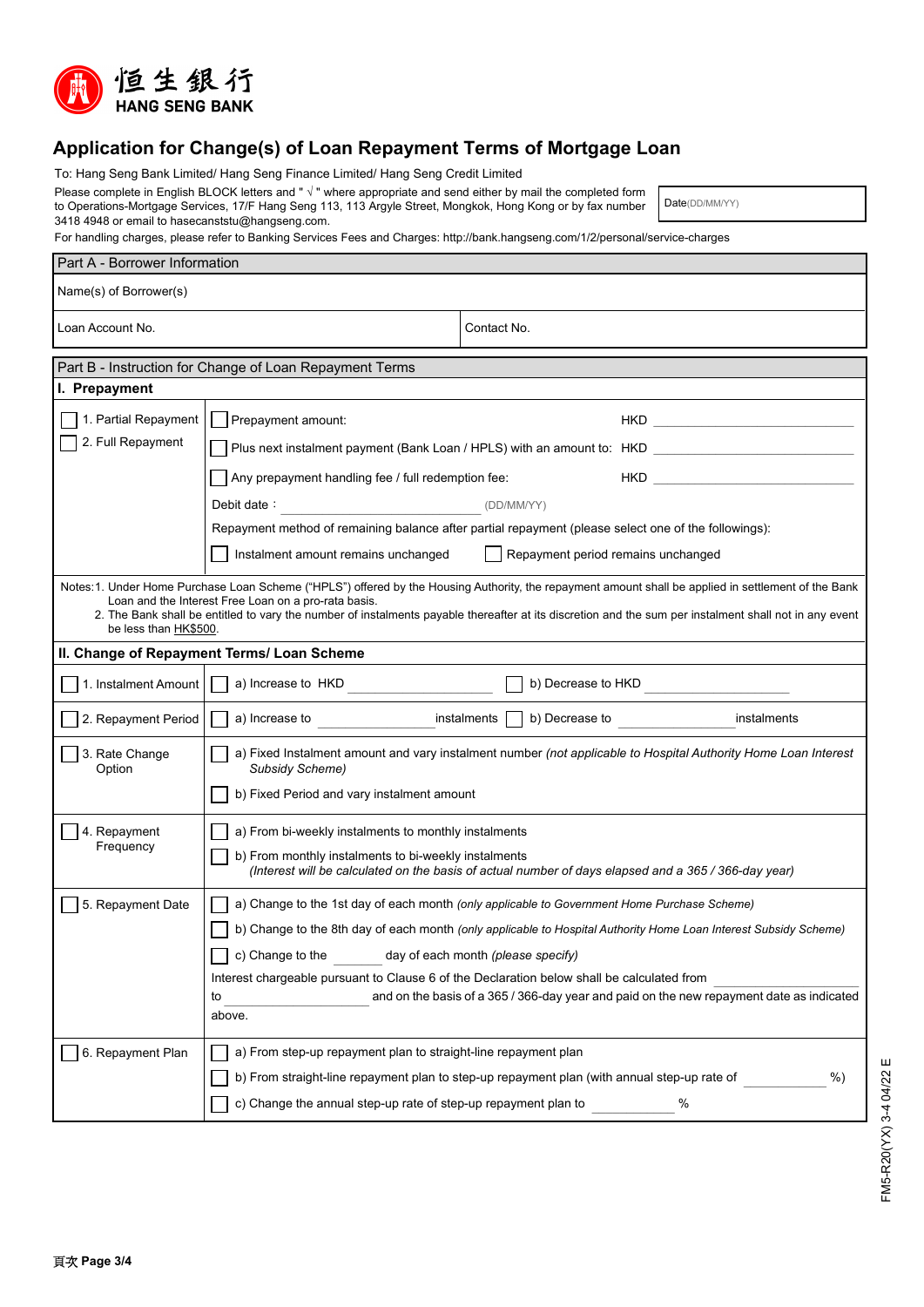

## **Application for Change(s) of Loan Repayment Terms of Mortgage Loan**

To: Hang Seng Bank Limited/ Hang Seng Finance Limited/ Hang Seng Credit Limited

Please complete in English BLOCK letters and " √ " where appropriate and send either by mail the completed form to Operations-Mortgage Services, 17/F Hang Seng 113, 113 Argyle Street, Mongkok, Hong Kong or by fax number 3418 4948 or email to hasecanststu@hangseng.com.

Date(DD/MM/YY)

For handling charges, please refer to Banking Services Fees and Charges: http://bank.hangseng.com/1/2/personal/service-charges

| Part A - Borrower Information                                                                                                                                                                                                                                                                                                                                                                   |                                                                                                                                                                                                                                                                                        |                                                                                                      |    |  |  |  |  |
|-------------------------------------------------------------------------------------------------------------------------------------------------------------------------------------------------------------------------------------------------------------------------------------------------------------------------------------------------------------------------------------------------|----------------------------------------------------------------------------------------------------------------------------------------------------------------------------------------------------------------------------------------------------------------------------------------|------------------------------------------------------------------------------------------------------|----|--|--|--|--|
| Name(s) of Borrower(s)                                                                                                                                                                                                                                                                                                                                                                          |                                                                                                                                                                                                                                                                                        |                                                                                                      |    |  |  |  |  |
| Loan Account No.                                                                                                                                                                                                                                                                                                                                                                                |                                                                                                                                                                                                                                                                                        | Contact No.                                                                                          |    |  |  |  |  |
|                                                                                                                                                                                                                                                                                                                                                                                                 | Part B - Instruction for Change of Loan Repayment Terms                                                                                                                                                                                                                                |                                                                                                      |    |  |  |  |  |
| I. Prepayment                                                                                                                                                                                                                                                                                                                                                                                   |                                                                                                                                                                                                                                                                                        |                                                                                                      |    |  |  |  |  |
| 1. Partial Repayment                                                                                                                                                                                                                                                                                                                                                                            | Prepayment amount:                                                                                                                                                                                                                                                                     |                                                                                                      |    |  |  |  |  |
| 2. Full Repayment                                                                                                                                                                                                                                                                                                                                                                               | Plus next instalment payment (Bank Loan / HPLS) with an amount to: HKD                                                                                                                                                                                                                 |                                                                                                      |    |  |  |  |  |
|                                                                                                                                                                                                                                                                                                                                                                                                 | Any prepayment handling fee / full redemption fee:<br>HKD <b>HKD</b><br>Debit date:<br>(DD/MM/YY)<br>Repayment method of remaining balance after partial repayment (please select one of the followings):<br>Instalment amount remains unchanged<br>Repayment period remains unchanged |                                                                                                      |    |  |  |  |  |
|                                                                                                                                                                                                                                                                                                                                                                                                 |                                                                                                                                                                                                                                                                                        |                                                                                                      |    |  |  |  |  |
|                                                                                                                                                                                                                                                                                                                                                                                                 |                                                                                                                                                                                                                                                                                        |                                                                                                      |    |  |  |  |  |
|                                                                                                                                                                                                                                                                                                                                                                                                 |                                                                                                                                                                                                                                                                                        |                                                                                                      |    |  |  |  |  |
| Notes: 1. Under Home Purchase Loan Scheme ("HPLS") offered by the Housing Authority, the repayment amount shall be applied in settlement of the Bank<br>Loan and the Interest Free Loan on a pro-rata basis.<br>2. The Bank shall be entitled to vary the number of instalments payable thereafter at its discretion and the sum per instalment shall not in any event<br>be less than HK\$500. |                                                                                                                                                                                                                                                                                        |                                                                                                      |    |  |  |  |  |
| II. Change of Repayment Terms/ Loan Scheme                                                                                                                                                                                                                                                                                                                                                      |                                                                                                                                                                                                                                                                                        |                                                                                                      |    |  |  |  |  |
| 1. Instalment Amount                                                                                                                                                                                                                                                                                                                                                                            | a) Increase to HKD                                                                                                                                                                                                                                                                     | b) Decrease to HKD                                                                                   |    |  |  |  |  |
| 2. Repayment Period                                                                                                                                                                                                                                                                                                                                                                             | a) Increase to                                                                                                                                                                                                                                                                         | instalments $\Box$ b) Decrease to<br>instalments                                                     |    |  |  |  |  |
| 3. Rate Change<br>Option                                                                                                                                                                                                                                                                                                                                                                        | a) Fixed Instalment amount and vary instalment number (not applicable to Hospital Authority Home Loan Interest<br>Subsidy Scheme)                                                                                                                                                      |                                                                                                      |    |  |  |  |  |
|                                                                                                                                                                                                                                                                                                                                                                                                 | b) Fixed Period and vary instalment amount                                                                                                                                                                                                                                             |                                                                                                      |    |  |  |  |  |
| 4. Repayment                                                                                                                                                                                                                                                                                                                                                                                    | a) From bi-weekly instalments to monthly instalments                                                                                                                                                                                                                                   |                                                                                                      |    |  |  |  |  |
| Frequency                                                                                                                                                                                                                                                                                                                                                                                       | b) From monthly instalments to bi-weekly instalments                                                                                                                                                                                                                                   | (Interest will be calculated on the basis of actual number of days elapsed and a 365 / 366-day year) |    |  |  |  |  |
| 5. Repayment Date                                                                                                                                                                                                                                                                                                                                                                               | a) Change to the 1st day of each month (only applicable to Government Home Purchase Scheme)                                                                                                                                                                                            |                                                                                                      |    |  |  |  |  |
|                                                                                                                                                                                                                                                                                                                                                                                                 | b) Change to the 8th day of each month (only applicable to Hospital Authority Home Loan Interest Subsidy Scheme)                                                                                                                                                                       |                                                                                                      |    |  |  |  |  |
|                                                                                                                                                                                                                                                                                                                                                                                                 | c) Change to the<br>day of each month (please specify)                                                                                                                                                                                                                                 |                                                                                                      |    |  |  |  |  |
|                                                                                                                                                                                                                                                                                                                                                                                                 | Interest chargeable pursuant to Clause 6 of the Declaration below shall be calculated from<br>and on the basis of a 365 / 366-day year and paid on the new repayment date as indicated<br>to<br>above.                                                                                 |                                                                                                      |    |  |  |  |  |
| 6. Repayment Plan                                                                                                                                                                                                                                                                                                                                                                               | a) From step-up repayment plan to straight-line repayment plan                                                                                                                                                                                                                         |                                                                                                      |    |  |  |  |  |
|                                                                                                                                                                                                                                                                                                                                                                                                 |                                                                                                                                                                                                                                                                                        | b) From straight-line repayment plan to step-up repayment plan (with annual step-up rate of          | %) |  |  |  |  |
|                                                                                                                                                                                                                                                                                                                                                                                                 | c) Change the annual step-up rate of step-up repayment plan to                                                                                                                                                                                                                         | %                                                                                                    |    |  |  |  |  |